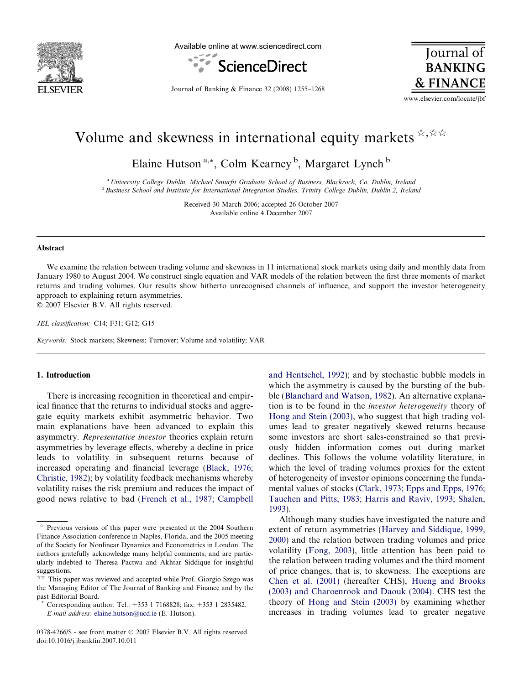

Available online at www.sciencedirect.com



Journal of **BANKING & FINANCE** 

Journal of Banking & Finance 32 (2008) 1255–1268

www.elsevier.com/locate/jbf

## Volume and skewness in international equity markets  $\forall x, \forall x$

Elaine Hutson<sup>a,\*</sup>, Colm Kearney<sup>b</sup>, Margaret Lynch<sup>b</sup>

<sup>a</sup> University College Dublin, Michael Smurfit Graduate School of Business, Blackrock, Co. Dublin, Ireland <sup>b</sup> Business School and Institute for International Integration Studies, Trinity College Dublin, Dublin 2, Ireland

> Received 30 March 2006; accepted 26 October 2007 Available online 4 December 2007

## Abstract

We examine the relation between trading volume and skewness in 11 international stock markets using daily and monthly data from January 1980 to August 2004. We construct single equation and VAR models of the relation between the first three moments of market returns and trading volumes. Our results show hitherto unrecognised channels of influence, and support the investor heterogeneity approach to explaining return asymmetries. © 2007 Elsevier B.V. All rights reserved.

JEL classification: C14; F31; G12; G15

Keywords: Stock markets; Skewness; Turnover; Volume and volatility; VAR

## 1. Introduction

There is increasing recognition in theoretical and empirical finance that the returns to individual stocks and aggregate equity markets exhibit asymmetric behavior. Two main explanations have been advanced to explain this asymmetry. Representative investor theories explain return asymmetries by leverage effects, whereby a decline in price leads to volatility in subsequent returns because of increased operating and financial leverage ([Black, 1976;](#page--1-0) [Christie, 1982](#page--1-0)); by volatility feedback mechanisms whereby volatility raises the risk premium and reduces the impact of good news relative to bad [\(French et al., 1987; Campbell](#page--1-0)

[and Hentschel, 1992\)](#page--1-0); and by stochastic bubble models in which the asymmetry is caused by the bursting of the bubble [\(Blanchard and Watson, 1982\)](#page--1-0). An alternative explanation is to be found in the investor heterogeneity theory of [Hong and Stein \(2003\)](#page--1-0), who suggest that high trading volumes lead to greater negatively skewed returns because some investors are short sales-constrained so that previously hidden information comes out during market declines. This follows the volume–volatility literature, in which the level of trading volumes proxies for the extent of heterogeneity of investor opinions concerning the fundamental values of stocks ([Clark, 1973; Epps and Epps, 1976;](#page--1-0) [Tauchen and Pitts, 1983; Harris and Raviv, 1993; Shalen,](#page--1-0) [1993](#page--1-0)).

Although many studies have investigated the nature and extent of return asymmetries [\(Harvey and Siddique, 1999,](#page--1-0) [2000](#page--1-0)) and the relation between trading volumes and price volatility ([Fong, 2003\)](#page--1-0), little attention has been paid to the relation between trading volumes and the third moment of price changes, that is, to skewness. The exceptions are [Chen et al. \(2001\)](#page--1-0) (hereafter CHS), [Hueng and Brooks](#page--1-0) [\(2003\) and Charoenrook and Daouk \(2004\).](#page--1-0) CHS test the theory of [Hong and Stein \(2003\)](#page--1-0) by examining whether increases in trading volumes lead to greater negative

 $*$  Previous versions of this paper were presented at the 2004 Southern Finance Association conference in Naples, Florida, and the 2005 meeting of the Society for Nonlinear Dynamics and Econometrics in London. The authors gratefully acknowledge many helpful comments, and are particularly indebted to Theresa Pactwa and Akhtar Siddique for insightful suggestions.

 $\star$  This paper was reviewed and accepted while Prof. Giorgio Szego was the Managing Editor of The Journal of Banking and Finance and by the past Editorial Board.

Corresponding author. Tel.: +353 1 7168828; fax: +353 1 2835482. E-mail address: [elaine.hutson@ucd.ie](mailto:elaine.hutson@ucd.ie) (E. Hutson).

<sup>0378-4266/\$ -</sup> see front matter © 2007 Elsevier B.V. All rights reserved. doi:10.1016/j.jbankfin.2007.10.011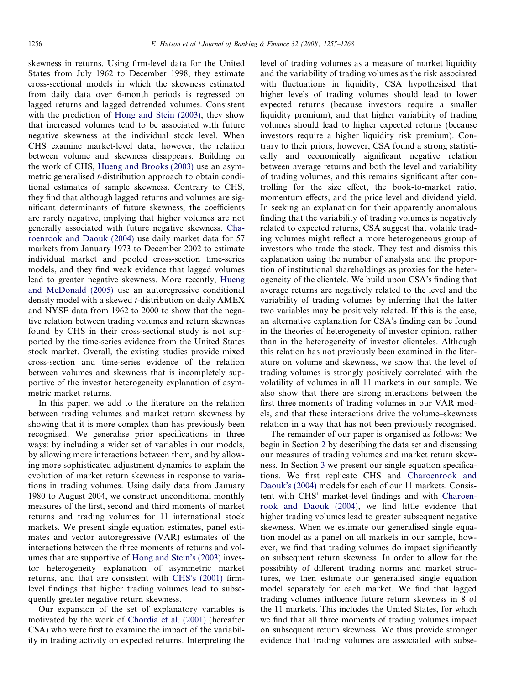skewness in returns. Using firm-level data for the United States from July 1962 to December 1998, they estimate cross-sectional models in which the skewness estimated from daily data over 6-month periods is regressed on lagged returns and lagged detrended volumes. Consistent with the prediction of [Hong and Stein \(2003\),](#page--1-0) they show that increased volumes tend to be associated with future negative skewness at the individual stock level. When CHS examine market-level data, however, the relation between volume and skewness disappears. Building on the work of CHS, [Hueng and Brooks \(2003\)](#page--1-0) use an asymmetric generalised t-distribution approach to obtain conditional estimates of sample skewness. Contrary to CHS, they find that although lagged returns and volumes are significant determinants of future skewness, the coefficients are rarely negative, implying that higher volumes are not generally associated with future negative skewness. [Cha](#page--1-0)[roenrook and Daouk \(2004\)](#page--1-0) use daily market data for 57 markets from January 1973 to December 2002 to estimate individual market and pooled cross-section time-series models, and they find weak evidence that lagged volumes lead to greater negative skewness. More recently, [Hueng](#page--1-0) [and McDonald \(2005\)](#page--1-0) use an autoregressive conditional density model with a skewed *t*-distribution on daily AMEX and NYSE data from 1962 to 2000 to show that the negative relation between trading volumes and return skewness found by CHS in their cross-sectional study is not supported by the time-series evidence from the United States stock market. Overall, the existing studies provide mixed cross-section and time-series evidence of the relation between volumes and skewness that is incompletely supportive of the investor heterogeneity explanation of asymmetric market returns.

In this paper, we add to the literature on the relation between trading volumes and market return skewness by showing that it is more complex than has previously been recognised. We generalise prior specifications in three ways: by including a wider set of variables in our models, by allowing more interactions between them, and by allowing more sophisticated adjustment dynamics to explain the evolution of market return skewness in response to variations in trading volumes. Using daily data from January 1980 to August 2004, we construct unconditional monthly measures of the first, second and third moments of market returns and trading volumes for 11 international stock markets. We present single equation estimates, panel estimates and vector autoregressive (VAR) estimates of the interactions between the three moments of returns and volumes that are supportive of [Hong and Stein's \(2003\)](#page--1-0) investor heterogeneity explanation of asymmetric market returns, and that are consistent with [CHS's \(2001\)](#page--1-0) firmlevel findings that higher trading volumes lead to subsequently greater negative return skewness.

Our expansion of the set of explanatory variables is motivated by the work of [Chordia et al. \(2001\)](#page--1-0) (hereafter CSA) who were first to examine the impact of the variability in trading activity on expected returns. Interpreting the

level of trading volumes as a measure of market liquidity and the variability of trading volumes as the risk associated with fluctuations in liquidity, CSA hypothesised that higher levels of trading volumes should lead to lower expected returns (because investors require a smaller liquidity premium), and that higher variability of trading volumes should lead to higher expected returns (because investors require a higher liquidity risk premium). Contrary to their priors, however, CSA found a strong statistically and economically significant negative relation between average returns and both the level and variability of trading volumes, and this remains significant after controlling for the size effect, the book-to-market ratio, momentum effects, and the price level and dividend yield. In seeking an explanation for their apparently anomalous finding that the variability of trading volumes is negatively related to expected returns, CSA suggest that volatile trading volumes might reflect a more heterogeneous group of investors who trade the stock. They test and dismiss this explanation using the number of analysts and the proportion of institutional shareholdings as proxies for the heterogeneity of the clientele. We build upon CSA's finding that average returns are negatively related to the level and the variability of trading volumes by inferring that the latter two variables may be positively related. If this is the case, an alternative explanation for CSA's finding can be found in the theories of heterogeneity of investor opinion, rather than in the heterogeneity of investor clienteles. Although this relation has not previously been examined in the literature on volume and skewness, we show that the level of trading volumes is strongly positively correlated with the volatility of volumes in all 11 markets in our sample. We also show that there are strong interactions between the first three moments of trading volumes in our VAR models, and that these interactions drive the volume–skewness relation in a way that has not been previously recognised.

The remainder of our paper is organised as follows: We begin in Section [2](#page--1-0) by describing the data set and discussing our measures of trading volumes and market return skewness. In Section [3](#page--1-0) we present our single equation specifications. We first replicate CHS and [Charoenrook and](#page--1-0) [Daouk's \(2004\)](#page--1-0) models for each of our 11 markets. Consistent with CHS' market-level findings and with [Charoen](#page--1-0)[rook and Daouk \(2004\)](#page--1-0), we find little evidence that higher trading volumes lead to greater subsequent negative skewness. When we estimate our generalised single equation model as a panel on all markets in our sample, however, we find that trading volumes do impact significantly on subsequent return skewness. In order to allow for the possibility of different trading norms and market structures, we then estimate our generalised single equation model separately for each market. We find that lagged trading volumes influence future return skewness in 8 of the 11 markets. This includes the United States, for which we find that all three moments of trading volumes impact on subsequent return skewness. We thus provide stronger evidence that trading volumes are associated with subse-